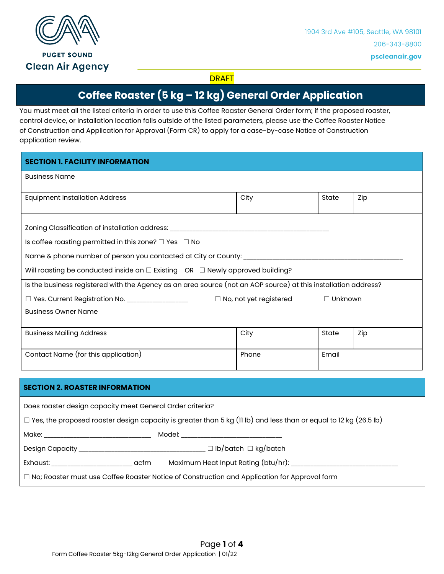

## **DRAFT**

# **Coffee Roaster (5 kg – 12 kg) General Order Application**

You must meet all the listed criteria in order to use this Coffee Roaster General Order form; if the proposed roaster, control device, or installation location falls outside of the listed parameters, please use the Coffee Roaster Notice of Construction and Application for Approval (Form CR) to apply for a case-by-case Notice of Construction application review.

| <b>SECTION 1. FACILITY INFORMATION</b>                                                                                                                    |       |       |     |  |
|-----------------------------------------------------------------------------------------------------------------------------------------------------------|-------|-------|-----|--|
| <b>Business Name</b>                                                                                                                                      |       |       |     |  |
| <b>Equipment Installation Address</b>                                                                                                                     | City  | State | Zip |  |
| Zoning Classification of installation address: _________________________________<br>Is coffee roasting permitted in this zone? $\square$ Yes $\square$ No |       |       |     |  |
|                                                                                                                                                           |       |       |     |  |
| Will roasting be conducted inside an $\square$ Existing OR $\square$ Newly approved building?                                                             |       |       |     |  |
| Is the business registered with the Agency as an area source (not an AOP source) at this installation address?                                            |       |       |     |  |
| $\Box$ No, not yet registered<br>□ Yes. Current Registration No. ___________________<br>$\Box$ Unknown                                                    |       |       |     |  |
| <b>Business Owner Name</b>                                                                                                                                |       |       |     |  |
| <b>Business Mailing Address</b>                                                                                                                           | City  | State | Zip |  |
| Contact Name (for this application)                                                                                                                       | Phone | Email |     |  |
| <b>SECTION 2. ROASTER INFORMATION</b>                                                                                                                     |       |       |     |  |

| Does roaster design capacity meet General Order criteria? |  |
|-----------------------------------------------------------|--|
|-----------------------------------------------------------|--|

|  |  |  | $\Box$ Yes, the proposed roaster design capacity is greater than 5 kg (11 lb) and less than or equal to 12 kg (26.5 lb) |
|--|--|--|-------------------------------------------------------------------------------------------------------------------------|
|--|--|--|-------------------------------------------------------------------------------------------------------------------------|

Make: \_\_\_\_\_\_\_\_\_\_\_\_\_\_\_\_\_\_\_\_\_\_\_\_\_\_\_\_\_\_\_\_\_ Model: \_\_\_\_\_\_\_\_\_\_\_\_\_\_\_\_\_\_\_\_\_\_\_\_\_\_\_\_\_\_\_

Design Capacity \_\_\_\_\_\_\_\_\_\_\_\_\_\_\_\_\_\_\_\_\_\_\_\_\_\_\_\_\_\_\_\_\_\_\_\_\_\_\_ ☐ lb/batch ☐ kg/batch

Exhaust: \_\_\_\_\_\_\_\_\_\_\_\_\_\_\_\_\_\_\_\_\_\_\_\_\_ acfm Maximum Heat Input Rating (btu/hr): \_\_\_\_\_\_\_\_\_\_\_\_\_\_\_\_\_\_\_\_\_\_\_\_\_\_\_\_\_\_\_\_\_

□ No; Roaster must use Coffee Roaster Notice of Construction and Application for Approval form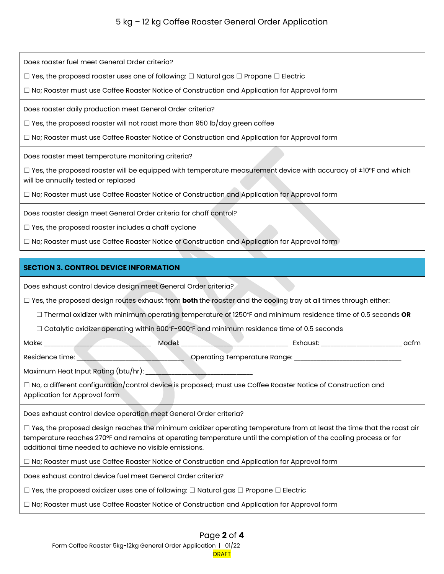# 5 kg – 12 kg Coffee Roaster General Order Application

Does roaster fuel meet General Order criteria?

☐ Yes, the proposed roaster uses one of following: ☐ Natural gas ☐ Propane ☐ Electric

□ No; Roaster must use Coffee Roaster Notice of Construction and Application for Approval form

Does roaster daily production meet General Order criteria?

 $\Box$  Yes, the proposed roaster will not roast more than 950 lb/day green coffee

 $\Box$  No; Roaster must use Coffee Roaster Notice of Construction and Application for Approval form

Does roaster meet temperature monitoring criteria?

 $\Box$  Yes, the proposed roaster will be equipped with temperature measurement device with accuracy of  $\pm 10^{\circ}$ F and which will be annually tested or replaced

□ No; Roaster must use Coffee Roaster Notice of Construction and Application for Approval form

Does roaster design meet General Order criteria for chaff control?

☐ Yes, the proposed roaster includes a chaff cyclone

 $\Box$  No; Roaster must use Coffee Roaster Notice of Construction and Application for Approval form

#### **SECTION 3. CONTROL DEVICE INFORMATION**

Does exhaust control device design meet General Order criteria?

☐ Yes, the proposed design routes exhaust from **both** the roaster and the cooling tray at all times through either:

☐ Thermal oxidizer with minimum operating temperature of 1250°F and minimum residence time of 0.5 seconds **OR**

☐ Catalytic oxidizer operating within 600°F-900°F and minimum residence time of 0.5 seconds

Make: \_\_\_\_\_\_\_\_\_\_\_\_\_\_\_\_\_\_\_\_\_\_\_\_\_\_\_\_\_\_\_\_\_ Model: \_\_\_\_\_\_\_\_\_\_\_\_\_\_\_\_\_\_\_\_\_\_\_\_\_\_\_\_\_\_\_\_\_ Exhaust: \_\_\_\_\_\_\_\_\_\_\_\_\_\_\_\_\_\_\_\_\_\_\_\_\_ acfm

Residence time: \_\_\_\_\_\_\_\_\_\_\_\_\_\_\_\_\_\_\_\_\_\_\_\_\_\_\_\_\_\_\_\_\_ Operating Temperature Range: \_\_\_\_\_\_\_\_\_\_\_\_\_\_\_\_\_\_\_\_\_\_\_\_\_\_\_\_\_\_\_\_\_

Maximum Heat Input Rating (btu/hr):

☐ No, a different configuration/control device is proposed; must use Coffee Roaster Notice of Construction and Application for Approval form

Does exhaust control device operation meet General Order criteria?

 $\Box$  Yes, the proposed design reaches the minimum oxidizer operating temperature from at least the time that the roast air temperature reaches 270°F and remains at operating temperature until the completion of the cooling process or for additional time needed to achieve no visible emissions.

□ No; Roaster must use Coffee Roaster Notice of Construction and Application for Approval form

Does exhaust control device fuel meet General Order criteria?

☐ Yes, the proposed oxidizer uses one of following: ☐ Natural gas ☐ Propane ☐ Electric

□ No; Roaster must use Coffee Roaster Notice of Construction and Application for Approval form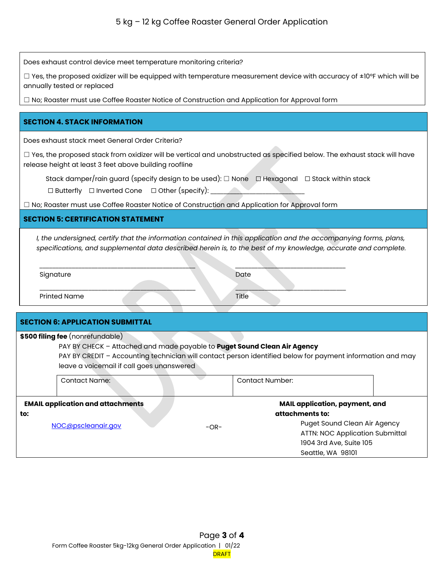Does exhaust control device meet temperature monitoring criteria?

 $\Box$  Yes, the proposed oxidizer will be equipped with temperature measurement device with accuracy of  $\pm$ 10°F which will be annually tested or replaced

□ No; Roaster must use Coffee Roaster Notice of Construction and Application for Approval form

#### **SECTION 4. STACK INFORMATION**

Does exhaust stack meet General Order Criteria?

 $\Box$  Yes, the proposed stack from oxidizer will be vertical and unobstructed as specified below. The exhaust stack will have release height at least 3 feet above building roofline

Stack damper/rain guard (specify design to be used): □ None □ Hexagonal □ Stack within stack

☐ Butterfly ☐ Inverted Cone ☐ Other (specify): \_\_\_\_\_\_\_\_\_\_\_\_\_\_\_\_\_\_\_\_\_\_\_\_\_\_\_\_\_

☐ No; Roaster must use Coffee Roaster Notice of Construction and Application for Approval form

### **SECTION 5: CERTIFICATION STATEMENT**

*I, the undersigned, certify that the information contained in this application and the accompanying forms, plans, specifications, and supplemental data described herein is, to the best of my knowledge, accurate and complete.*

| Signature           |  | Date  |
|---------------------|--|-------|
|                     |  |       |
| <b>Printed Name</b> |  | Title |

| <b>SECTION 6: APPLICATION SUBMITTAL</b>   |                                                                                                            |                                       |                         |                                        |
|-------------------------------------------|------------------------------------------------------------------------------------------------------------|---------------------------------------|-------------------------|----------------------------------------|
|                                           | \$500 filing fee (nonrefundable)                                                                           |                                       |                         |                                        |
|                                           | PAY BY CHECK - Attached and made payable to <b>Puget Sound Clean Air Agency</b>                            |                                       |                         |                                        |
|                                           | PAY BY CREDIT - Accounting technician will contact person identified below for payment information and may |                                       |                         |                                        |
| leave a voicemail if call goes unanswered |                                                                                                            |                                       |                         |                                        |
|                                           | Contact Name:                                                                                              |                                       | Contact Number:         |                                        |
| <b>EMAIL application and attachments</b>  |                                                                                                            | <b>MAIL application, payment, and</b> |                         |                                        |
| to:                                       | attachments to:                                                                                            |                                       |                         |                                        |
|                                           | NOC@pscleanair.gov                                                                                         | $-OR-$                                |                         | Puget Sound Clean Air Agency           |
|                                           |                                                                                                            |                                       |                         | <b>ATTN: NOC Application Submittal</b> |
|                                           |                                                                                                            |                                       | 1904 3rd Ave, Suite 105 |                                        |
|                                           |                                                                                                            |                                       | Seattle, WA 98101       |                                        |